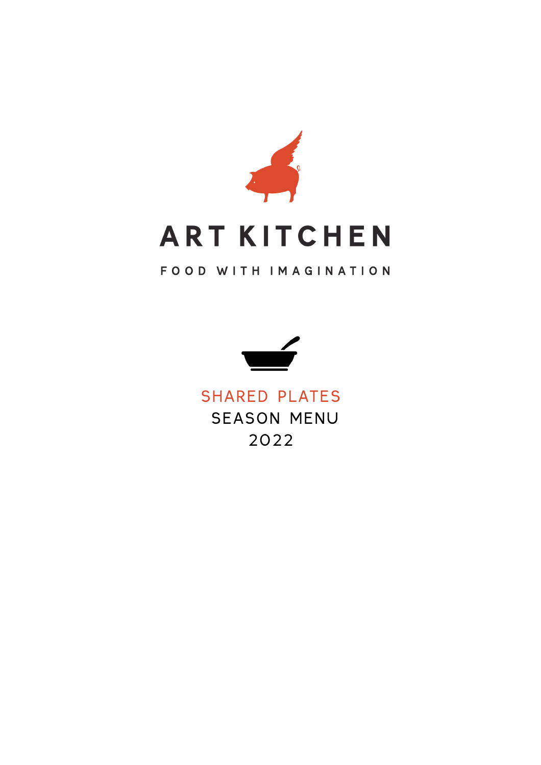

### FOOD WITH IMAGINATION



### SHARED PLATES SEASON MENU 2022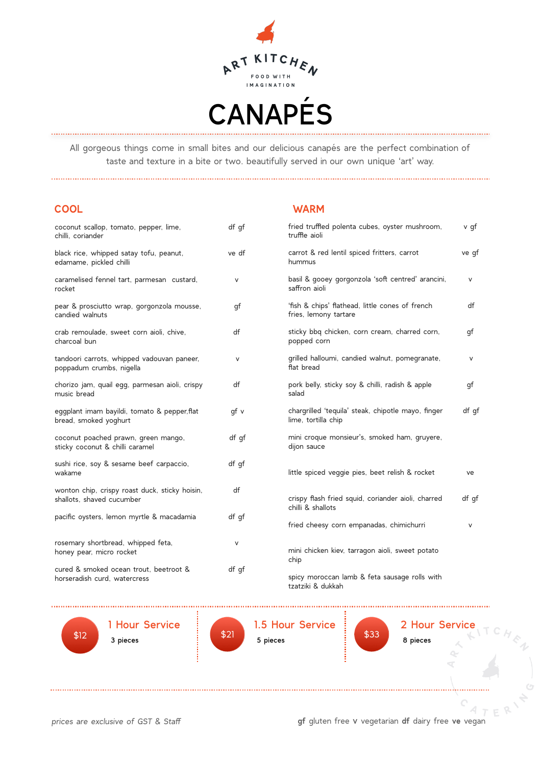

All gorgeous things come in small bites and our delicious canapés are the perfect combination of taste and texture in a bite or two. beautifully served in our own unique 'art' way.

#### **COOL WARM**

| coconut scallop, tomato, pepper, lime,<br>chilli, coriander                 | df gf  | tried<br>truffle             |
|-----------------------------------------------------------------------------|--------|------------------------------|
| black rice, whipped satay tofu, peanut,<br>edamame, pickled chilli          | ve df  | carro<br>humn                |
| caramelised fennel tart, parmesan custard,<br>rocket                        | V      | basil<br>saffrc              |
| pear & prosciutto wrap, gorgonzola mousse,<br>candied walnuts               | qf     | 'fish &<br>fries,            |
| crab remoulade, sweet corn aioli, chive,<br>charcoal bun                    | df     | sticky<br>popp <sub></sub>   |
| tandoori carrots, whipped vadouvan paneer,<br>poppadum crumbs, nigella      | v      | qrilled<br>flat b            |
| chorizo jam, quail egg, parmesan aioli, crispy<br>music bread               | df     | pork<br>salad                |
| eggplant imam bayildi, tomato & pepper, flat<br>bread, smoked yoghurt       | qf v   | charg<br>lime,               |
| coconut poached prawn, green mango,<br>sticky coconut & chilli caramel      | df qf  | mini (<br>dijon              |
| sushi rice, soy & sesame beef carpaccio,<br>wakame                          | df gf  | little:                      |
| wonton chip, crispy roast duck, sticky hoisin,<br>shallots, shaved cucumber | df     | crisp <sub>)</sub><br>chilli |
| pacific oysters, lemon myrtle & macadamia                                   | df qf  | fried                        |
| rosemary shortbread, whipped feta,<br>honey pear, micro rocket              | $\vee$ | mini (<br>chip               |
| cured & smoked ocean trout, beetroot &<br>horseradish curd, watercress      | df gf  | spicy                        |

| fried truffled polenta cubes, oyster mushroom,<br>truffle aioli           | v gf  |
|---------------------------------------------------------------------------|-------|
| carrot & red lentil spiced fritters, carrot<br>hummus                     | ve gf |
| basil & gooey gorgonzola 'soft centred' arancini,<br>saffron aioli        | v     |
| 'fish & chips' flathead, little cones of french<br>fries, lemony tartare  | df    |
| sticky bbq chicken, corn cream, charred corn,<br>popped corn              | gf    |
| grilled halloumi, candied walnut, pomegranate,<br>flat bread              | V     |
| pork belly, sticky soy & chilli, radish & apple<br>salad                  | gf    |
| chargrilled 'tequila' steak, chipotle mayo, finger<br>lime, tortilla chip | df qf |
| mini croque monsieur's, smoked ham, gruyere,<br>dijon sauce               |       |
| little spiced veggie pies, beet relish & rocket                           | ve    |
| crispy flash fried squid, coriander aioli, charred<br>chilli & shallots   | df qf |
| fried cheesy corn empanadas, chimichurri                                  | v     |
| mini chicken kiev, tarragon aioli, sweet potato<br>chip                   |       |
| spicy moroccan lamb & feta sausage rolls with<br>tzatziki & dukkah        |       |
|                                                                           |       |



1 Hour Service 3 pieces



 5 pieces  $\begin{array}{|c|c|c|c|c|}\n\hline\n\text{3} & \text{5} & \text{5} & \text{5} & \text{6} & \text{6} \\
\hline\n\text{4} & \text{5} & \text{6} & \text{6} & \text{6} \\
\hline\n\text{5} & \text{6} & \text{6} & \text{6} & \text{6} \\
\hline\n\text{6} & \text{6} & \text{6} & \text{6} & \text{6} \\
\hline\n\text{7} & \text{8} & \text{6} & \text{6} & \text{6} \\
\hline\n\text{8} & \text{6} & \text{6} & \text{6$ 



<sup>2</sup> Hour Service

. . . ). . . . . . . . . . . . . .

*prices are exclusive of GST & Staff* **gf** gluten free v vegetarian **df** dairy free **ve** vegan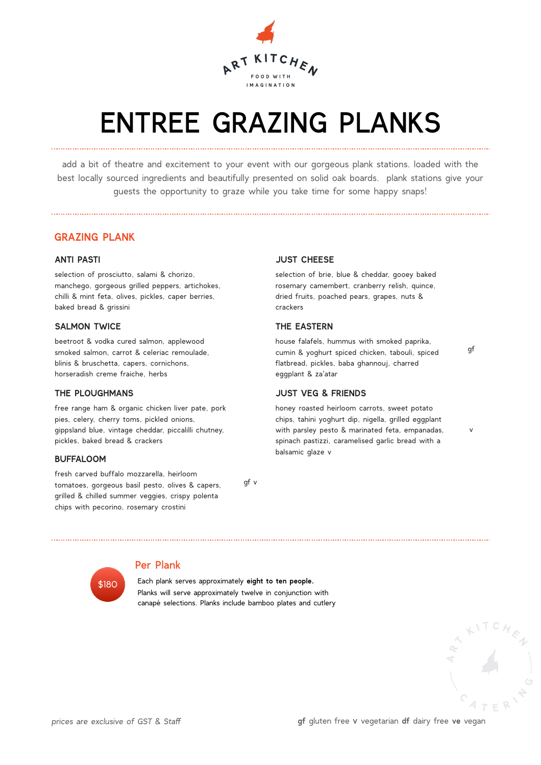

## ENTREE GRAZING PLANKS

add a bit of theatre and excitement to your event with our gorgeous plank stations. loaded with the best locally sourced ingredients and beautifully presented on solid oak boards. plank stations give your guests the opportunity to graze while you take time for some happy snaps!

#### **GRAZING PLANK**

#### **ANTI PASTI**

selection of prosciutto, salami & chorizo, manchego, gorgeous grilled peppers, artichokes, chilli & mint feta, olives, pickles, caper berries, baked bread & grissini

#### **SALMON TWICE**

beetroot & vodka cured salmon, applewood smoked salmon, carrot & celeriac remoulade, blinis & bruschetta, capers, cornichons, horseradish creme fraiche, herbs

#### **THE PLOUGHMANS**

free range ham & organic chicken liver pate, pork pies, celery, cherry toms, pickled onions, gippsland blue, vintage cheddar, piccalilli chutney, pickles, baked bread & crackers

#### **BUFFALOOM**

fresh carved buffalo mozzarella, heirloom tomatoes, gorgeous basil pesto, olives & capers, grilled & chilled summer veggies, crispy polenta chips with pecorino, rosemary crostini

gf v

#### **JUST CHEESE**

selection of brie, blue & cheddar, gooey baked rosemary camembert, cranberry relish, quince, dried fruits, poached pears, grapes, nuts & crackers

#### **THE EASTERN**

house falafels, hummus with smoked paprika, cumin & yoghurt spiced chicken, tabouli, spiced flatbread, pickles, baba ghannouj, charred eggplant & za'atar

#### **JUST VEG & FRIENDS**

honey roasted heirloom carrots, sweet potato chips, tahini yoghurt dip, nigella, grilled eggplant with parsley pesto & marinated feta, empanadas, spinach pastizzi, caramelised garlic bread with a balsamic glaze v



#### Per Plank

 Each plank serves approximately **eight to ten people.** Planks will serve approximately twelve in conjunction with canapé selections. Planks include bamboo plates and cutlery



gf

v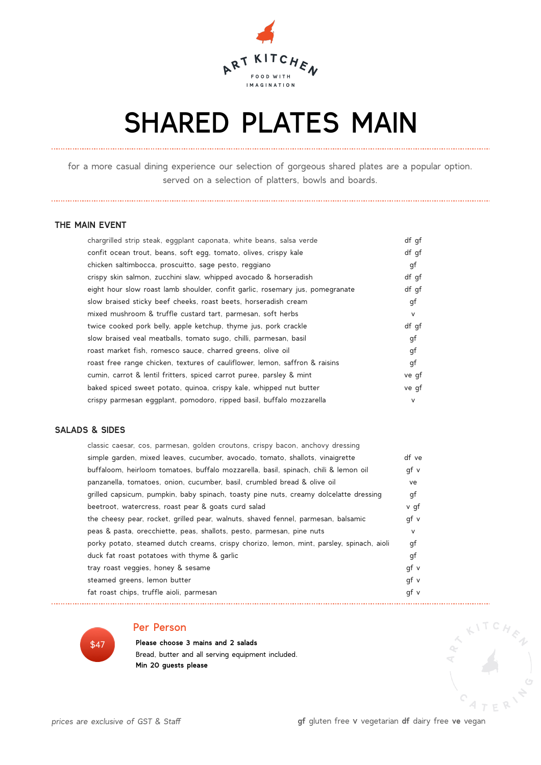

## SHARED PLATES MAIN

for a more casual dining experience our selection of gorgeous shared plates are a popular option. served on a selection of platters, bowls and boards.

#### **THE MAIN EVENT**

| chargrilled strip steak, eggplant caponata, white beans, salsa verde          | df qf  |
|-------------------------------------------------------------------------------|--------|
| confit ocean trout, beans, soft egg, tomato, olives, crispy kale              | df qf  |
| chicken saltimbocca, proscuitto, sage pesto, reggiano                         | gf     |
| crispy skin salmon, zucchini slaw, whipped avocado & horseradish              | df qf  |
| eight hour slow roast lamb shoulder, confit garlic, rosemary jus, pomegranate | df qf  |
| slow braised sticky beef cheeks, roast beets, horseradish cream               | gf     |
| mixed mushroom & truffle custard tart, parmesan, soft herbs                   | $\vee$ |
| twice cooked pork belly, apple ketchup, thyme jus, pork crackle               | df gf  |
| slow braised veal meatballs, tomato sugo, chilli, parmesan, basil             | gf     |
| roast market fish, romesco sauce, charred greens, olive oil                   | gf     |
| roast free range chicken, textures of cauliflower, lemon, saffron & raisins   | gf     |
| cumin, carrot & lentil fritters, spiced carrot puree, parsley & mint          | ve qf  |
| baked spiced sweet potato, quinoa, crispy kale, whipped nut butter            | ve qf  |
| crispy parmesan eqqplant, pomodoro, ripped basil, buffalo mozzarella          | V      |

#### **SALADS & SIDES**

| df ve |
|-------|
| qf v  |
| ve    |
| gf    |
| v qf  |
| qf v  |
| V     |
| qf    |
| qf    |
| gf v  |
| qf v  |
| qf v  |
|       |

\$47

#### Per Person

 **Please choose 3 mains and 2 salads** Bread, butter and all serving equipment included. **Min 20 guests please**